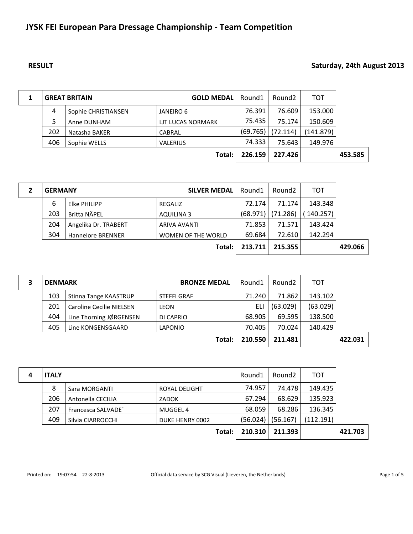# **JYSK FEI European Para Dressage Championship - Team Competition**

## **RESULT Saturday, 24th August 2013**

|     | <b>GREAT BRITAIN</b> | <b>GOLD MEDAL</b> | Round1   | Round <sub>2</sub> | тот       |         |
|-----|----------------------|-------------------|----------|--------------------|-----------|---------|
| 4   | Sophie CHRISTIANSEN  | JANEIRO 6         | 76.391   | 76.609             | 153.000   |         |
| 5   | Anne DUNHAM          | LIT LUCAS NORMARK | 75.435   | 75.174             | 150.609   |         |
| 202 | Natasha BAKER        | CABRAL            | (69.765) | (72.114)           | (141.879) |         |
| 406 | Sophie WELLS         | <b>VALERIUS</b>   | 74.333   | 75.643             | 149.976   |         |
|     |                      | Total:            | 226.159  | 227.426            |           | 453.585 |

| <b>GERMANY</b> |                          | <b>SILVER MEDAL</b>       | Round1   | Round <sub>2</sub> | тот       |         |
|----------------|--------------------------|---------------------------|----------|--------------------|-----------|---------|
| 6              | Elke PHILIPP             | REGALIZ                   | 72.174   | 71.174             | 143.348   |         |
| 203            | Britta NÄPEL             | AQUILINA 3                | (68.971) | (71.286)           | (140.257) |         |
| 204            | Angelika Dr. TRABERT     | <b>ARIVA AVANTI</b>       | 71.853   | 71.571             | 143.424   |         |
| 304            | <b>Hannelore BRENNER</b> | <b>WOMEN OF THE WORLD</b> | 69.684   | 72.610             | 142.294   |         |
|                |                          | Total:                    | 213.711  | 215.355            |           | 429.066 |

| <b>DENMARK</b> |                                 | <b>BRONZE MEDAL</b> | Round1  | Round <sub>2</sub> | тот      |         |
|----------------|---------------------------------|---------------------|---------|--------------------|----------|---------|
| 103            | Stinna Tange KAASTRUP           | <b>STEFFI GRAF</b>  | 71.240  | 71.862             | 143.102  |         |
| 201            | <b>Caroline Cecilie NIELSEN</b> | <b>LEON</b>         | ELI     | (63.029)           | (63.029) |         |
| 404            | Line Thorning JØRGENSEN         | DI CAPRIO           | 68.905  | 69.595             | 138.500  |         |
| 405            | Line KONGENSGAARD               | <b>LAPONIO</b>      | 70.405  | 70.024             | 140.429  |         |
|                |                                 | Total:              | 210.550 | 211.481            |          | 422.031 |

| <b>ITALY</b> |                    |                      |          | Round <sub>2</sub> | тот       |         |
|--------------|--------------------|----------------------|----------|--------------------|-----------|---------|
| 8            | Sara MORGANTI      | <b>ROYAL DELIGHT</b> | 74.957   | 74.478             | 149.435   |         |
| 206          | Antonella CECILIA  | ZADOK                | 67.294   | 68.629             | 135.923   |         |
| 207          | Francesca SALVADE' | MUGGEL 4             | 68.059   | 68.286             | 136.345   |         |
| 409          | Silvia CIARROCCHI  | DUKE HENRY 0002      | (56.024) | (56.167)           | (112.191) |         |
|              |                    | Total:               | 210.310  | 211.393            |           | 421.703 |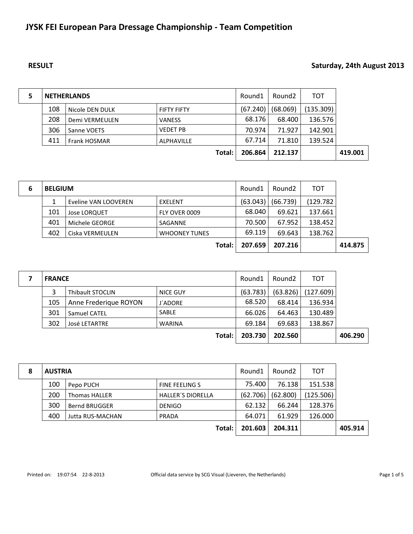# **JYSK FEI European Para Dressage Championship - Team Competition**

## **RESULT Saturday, 24th August 2013**

|     | <b>NETHERLANDS</b>  |                    | Round1   | Round2   | тот       |         |
|-----|---------------------|--------------------|----------|----------|-----------|---------|
| 108 | Nicole DEN DULK     | <b>FIFTY FIFTY</b> | (67.240) | (68.069) | (135.309) |         |
| 208 | Demi VERMEULEN      | <b>VANESS</b>      | 68.176   | 68.400   | 136.576   |         |
| 306 | Sanne VOETS         | <b>VEDET PB</b>    | 70.974   | 71.927   | 142.901   |         |
| 411 | <b>Frank HOSMAR</b> | <b>ALPHAVILLE</b>  | 67.714   | 71.810   | 139.524   |         |
|     |                     | Total:             | 206.864  | 212.137  |           | 419.001 |

| 6 | <b>BELGIUM</b> |                      |                      | Round1   | Round <sub>2</sub> | тот      |         |
|---|----------------|----------------------|----------------------|----------|--------------------|----------|---------|
|   |                | Eveline VAN LOOVEREN | EXELENT              | (63.043) | (66.739)           | (129.782 |         |
|   | 101            | <b>Jose LORQUET</b>  | FLY OVER 0009        | 68.040   | 69.621             | 137.661  |         |
|   | 401            | Michele GEORGE       | SAGANNE              | 70.500   | 67.952             | 138.452  |         |
|   | 402            | Ciska VERMEULEN      | <b>WHOONEY TUNES</b> | 69.119   | 69.643             | 138.762  |         |
|   |                |                      | Total:               | 207.659  | 207.216            |          | 414.875 |

| <b>FRANCE</b> |                         |                 |          | Round <sub>2</sub> | тот       |         |
|---------------|-------------------------|-----------------|----------|--------------------|-----------|---------|
| 3             | <b>Thibault STOCLIN</b> | <b>NICE GUY</b> | (63.783) | (63.826)           | (127.609) |         |
| 105           | Anne Frederique ROYON   | <b>J'ADORE</b>  | 68.520   | 68.414             | 136.934   |         |
| 301           | Samuel CATEL            | <b>SABLE</b>    | 66.026   | 64.463             | 130.489   |         |
| 302           | <b>José LETARTRE</b>    | <b>WARINA</b>   | 69.184   | 69.683             | 138.867   |         |
|               |                         | Total:          | 203.730  | 202.560            |           | 406.290 |

| 8 | <b>AUSTRIA</b> |                         |                          |          | Round <sub>2</sub> | тот       |         |
|---|----------------|-------------------------|--------------------------|----------|--------------------|-----------|---------|
|   | 100            | Pepo PUCH               | <b>FINE FEELING S</b>    | 75.400   | 76.138             | 151.538   |         |
|   | 200            | <b>Thomas HALLER</b>    | <b>HALLER'S DIORELLA</b> | (62.706) | (62.800)           | (125.506) |         |
|   | 300            | <b>Bernd BRUGGER</b>    | <b>DENIGO</b>            | 62.132   | 66.244             | 128.376   |         |
|   | 400            | <b>Jutta RUS-MACHAN</b> | PRADA                    | 64.071   | 61.929             | 126.000   |         |
|   |                |                         | Total:                   | 201.603  | 204.311            |           | 405.914 |